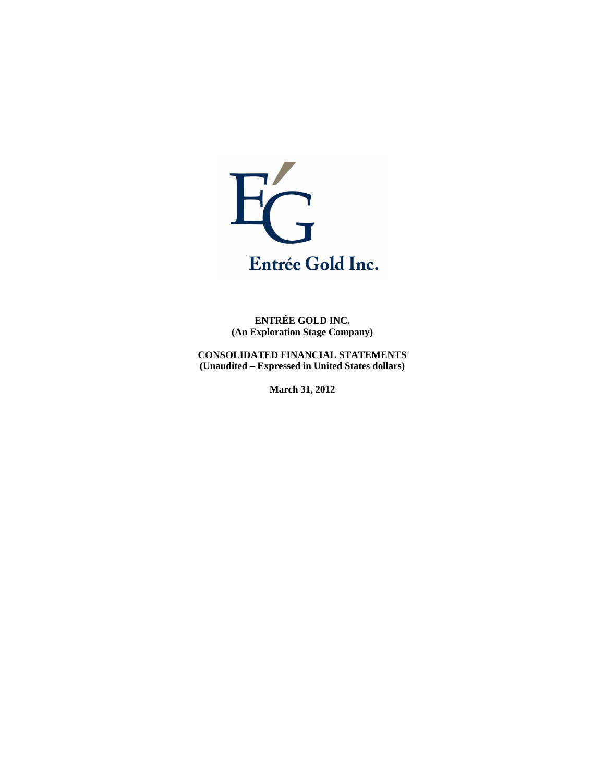

**ENTRÉE GOLD INC. (An Exploration Stage Company)** 

**CONSOLIDATED FINANCIAL STATEMENTS (Unaudited – Expressed in United States dollars)** 

**March 31, 2012**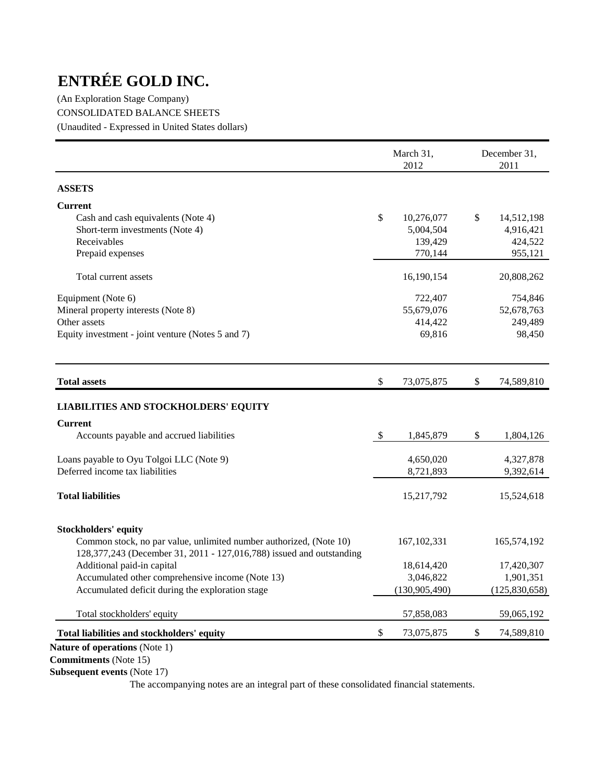(An Exploration Stage Company) CONSOLIDATED BALANCE SHEETS (Unaudited - Expressed in United States dollars)

|                                                                                                                                            |               | March 31,<br>2012 |              | December 31,<br>2011 |  |
|--------------------------------------------------------------------------------------------------------------------------------------------|---------------|-------------------|--------------|----------------------|--|
| <b>ASSETS</b>                                                                                                                              |               |                   |              |                      |  |
| <b>Current</b>                                                                                                                             |               |                   |              |                      |  |
| Cash and cash equivalents (Note 4)                                                                                                         | \$            | 10,276,077        | $\mathbb{S}$ | 14,512,198           |  |
| Short-term investments (Note 4)                                                                                                            |               | 5,004,504         |              | 4,916,421            |  |
| Receivables                                                                                                                                |               | 139,429           |              | 424,522              |  |
| Prepaid expenses                                                                                                                           |               | 770,144           |              | 955,121              |  |
| Total current assets                                                                                                                       |               | 16,190,154        |              | 20,808,262           |  |
| Equipment (Note 6)                                                                                                                         |               | 722,407           |              | 754,846              |  |
| Mineral property interests (Note 8)                                                                                                        |               | 55,679,076        |              | 52,678,763           |  |
| Other assets                                                                                                                               |               | 414,422           |              | 249,489              |  |
| Equity investment - joint venture (Notes 5 and 7)                                                                                          |               | 69,816            |              | 98,450               |  |
| <b>Total assets</b>                                                                                                                        | \$            | 73,075,875        | \$           | 74,589,810           |  |
| <b>LIABILITIES AND STOCKHOLDERS' EQUITY</b>                                                                                                |               |                   |              |                      |  |
| <b>Current</b>                                                                                                                             |               |                   |              |                      |  |
| Accounts payable and accrued liabilities                                                                                                   | $\mathcal{S}$ | 1,845,879         | \$           | 1,804,126            |  |
| Loans payable to Oyu Tolgoi LLC (Note 9)                                                                                                   |               | 4,650,020         |              | 4,327,878            |  |
| Deferred income tax liabilities                                                                                                            |               | 8,721,893         |              | 9,392,614            |  |
| <b>Total liabilities</b>                                                                                                                   |               | 15,217,792        |              | 15,524,618           |  |
| <b>Stockholders' equity</b>                                                                                                                |               |                   |              |                      |  |
| Common stock, no par value, unlimited number authorized, (Note 10)<br>128,377,243 (December 31, 2011 - 127,016,788) issued and outstanding |               | 167, 102, 331     |              | 165,574,192          |  |
| Additional paid-in capital                                                                                                                 |               | 18,614,420        |              | 17,420,307           |  |
| Accumulated other comprehensive income (Note 13)                                                                                           |               | 3,046,822         |              | 1,901,351            |  |
| Accumulated deficit during the exploration stage                                                                                           |               | (130, 905, 490)   |              | (125, 830, 658)      |  |
| Total stockholders' equity                                                                                                                 |               | 57,858,083        |              | 59,065,192           |  |
| Total liabilities and stockholders' equity                                                                                                 | \$            | 73,075,875        | \$           | 74,589,810           |  |

**Commitments** (Note 15)

**Subsequent events** (Note 17)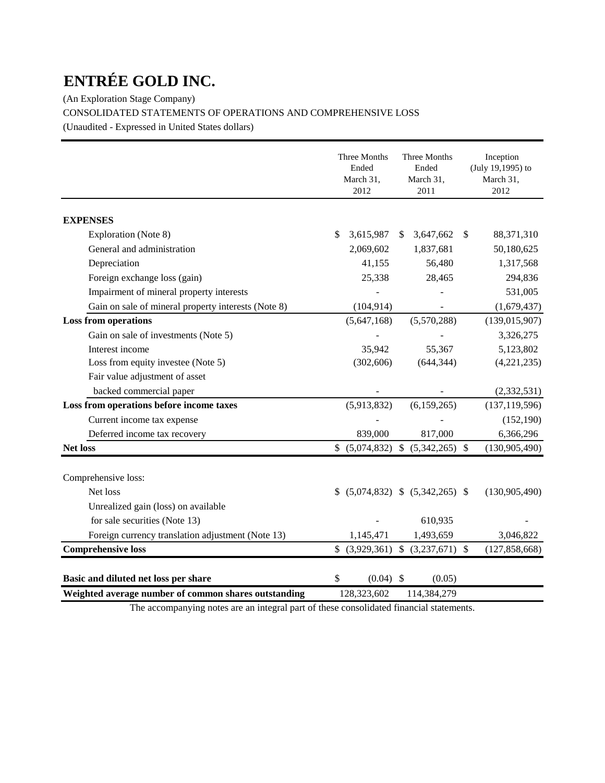(An Exploration Stage Company)

CONSOLIDATED STATEMENTS OF OPERATIONS AND COMPREHENSIVE LOSS

(Unaudited - Expressed in United States dollars)

|                                                      | Three Months<br>Ended<br>March 31,<br>2012 | Three Months<br>Ended<br>March 31,<br>2011 | Inception<br>(July 19,1995) to<br>March 31,<br>2012 |
|------------------------------------------------------|--------------------------------------------|--------------------------------------------|-----------------------------------------------------|
| <b>EXPENSES</b>                                      |                                            |                                            |                                                     |
| Exploration (Note 8)                                 | \$<br>3,615,987                            | 3,647,662<br>\$                            | 88,371,310<br><sup>\$</sup>                         |
| General and administration                           | 2,069,602                                  | 1,837,681                                  | 50,180,625                                          |
| Depreciation                                         | 41,155                                     | 56,480                                     | 1,317,568                                           |
| Foreign exchange loss (gain)                         | 25,338                                     | 28,465                                     | 294,836                                             |
| Impairment of mineral property interests             |                                            |                                            | 531,005                                             |
| Gain on sale of mineral property interests (Note 8)  | (104, 914)                                 |                                            | (1,679,437)                                         |
| <b>Loss from operations</b>                          | (5,647,168)                                | (5,570,288)                                | (139, 015, 907)                                     |
| Gain on sale of investments (Note 5)                 |                                            |                                            | 3,326,275                                           |
| Interest income                                      | 35,942                                     | 55,367                                     | 5,123,802                                           |
| Loss from equity investee (Note 5)                   | (302, 606)                                 | (644, 344)                                 | (4,221,235)                                         |
| Fair value adjustment of asset                       |                                            |                                            |                                                     |
| backed commercial paper                              |                                            |                                            | (2, 332, 531)                                       |
| Loss from operations before income taxes             | (5,913,832)                                | (6,159,265)                                | (137, 119, 596)                                     |
| Current income tax expense                           |                                            |                                            | (152, 190)                                          |
| Deferred income tax recovery                         | 839,000                                    | 817,000                                    | 6,366,296                                           |
| <b>Net loss</b>                                      |                                            | \$ (5,074,832) \$ (5,342,265) \$           | (130,905,490)                                       |
| Comprehensive loss:                                  |                                            |                                            |                                                     |
| Net loss                                             |                                            | $(5,074,832)$ \$ $(5,342,265)$ \$          | (130, 905, 490)                                     |
| Unrealized gain (loss) on available                  |                                            |                                            |                                                     |
| for sale securities (Note 13)                        |                                            | 610,935                                    |                                                     |
| Foreign currency translation adjustment (Note 13)    | 1,145,471                                  | 1,493,659                                  | 3,046,822                                           |
| <b>Comprehensive loss</b>                            | \$                                         | $(3,929,361)$ \$ $(3,237,671)$ \$          | (127, 858, 668)                                     |
|                                                      |                                            |                                            |                                                     |
| Basic and diluted net loss per share                 | \$<br>$(0.04)$ \$                          | (0.05)                                     |                                                     |
| Weighted average number of common shares outstanding | 128,323,602                                | 114,384,279                                |                                                     |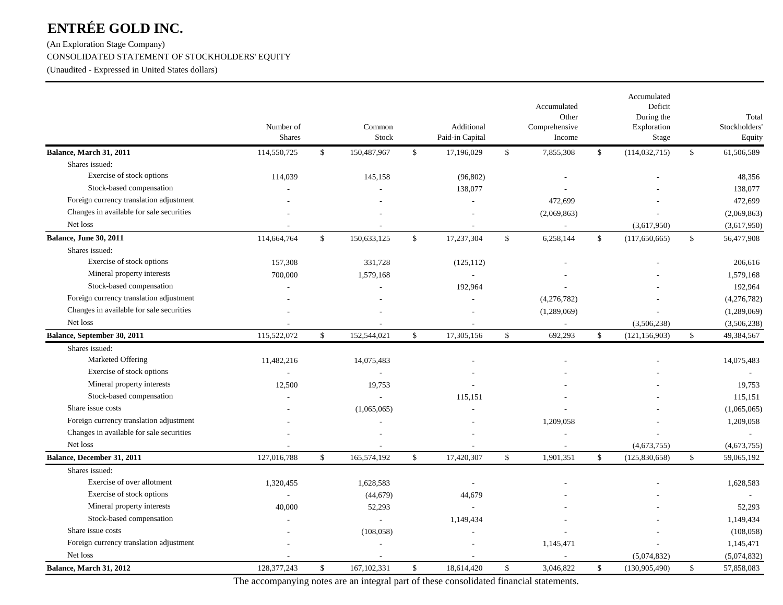(An Exploration Stage Company) CONSOLIDATED STATEMENT OF STOCKHOLDERS' EQUITY

(Unaudited - Expressed in United States dollars)

|                                          | Number of<br>Shares |              | Common<br>Stock |              | Additional<br>Paid-in Capital | Accumulated<br>Other<br>Comprehensive<br>Income |              | Accumulated<br>Deficit<br>During the<br>Exploration<br>Stage |              | Total<br>Stockholders<br>Equity |
|------------------------------------------|---------------------|--------------|-----------------|--------------|-------------------------------|-------------------------------------------------|--------------|--------------------------------------------------------------|--------------|---------------------------------|
| Balance, March 31, 2011                  | 114,550,725         | $\mathbb{S}$ | 150,487,967     | \$           | 17,196,029                    | \$<br>7,855,308                                 | \$           | (114, 032, 715)                                              | $\mathbb{S}$ | 61,506,589                      |
| Shares issued:                           |                     |              |                 |              |                               |                                                 |              |                                                              |              |                                 |
| Exercise of stock options                | 114,039             |              | 145,158         |              | (96, 802)                     |                                                 |              |                                                              |              | 48,356                          |
| Stock-based compensation                 |                     |              |                 |              | 138,077                       |                                                 |              |                                                              |              | 138,077                         |
| Foreign currency translation adjustment  |                     |              |                 |              |                               | 472,699                                         |              |                                                              |              | 472,699                         |
| Changes in available for sale securities |                     |              |                 |              |                               | (2,069,863)                                     |              |                                                              |              | (2,069,863)                     |
| Net loss                                 |                     |              |                 |              |                               | $\overline{\phantom{a}}$                        |              | (3,617,950)                                                  |              | (3,617,950)                     |
| <b>Balance, June 30, 2011</b>            | 114,664,764         | $\mathbb{S}$ | 150,633,125     | \$           | 17,237,304                    | \$<br>6,258,144                                 | $\mathbb{S}$ | (117, 650, 665)                                              | $\mathbb{S}$ | 56,477,908                      |
| Shares issued:                           |                     |              |                 |              |                               |                                                 |              |                                                              |              |                                 |
| Exercise of stock options                | 157,308             |              | 331,728         |              | (125, 112)                    |                                                 |              |                                                              |              | 206,616                         |
| Mineral property interests               | 700,000             |              | 1,579,168       |              | $\sim$                        |                                                 |              |                                                              |              | 1,579,168                       |
| Stock-based compensation                 | $\overline{a}$      |              | $\overline{a}$  |              | 192,964                       |                                                 |              |                                                              |              | 192,964                         |
| Foreign currency translation adjustment  |                     |              |                 |              |                               | (4,276,782)                                     |              |                                                              |              | (4,276,782)                     |
| Changes in available for sale securities |                     |              |                 |              |                               | (1,289,069)                                     |              |                                                              |              | (1,289,069)                     |
| Net loss                                 |                     |              |                 |              |                               |                                                 |              | (3,506,238)                                                  |              | (3,506,238)                     |
| Balance, September 30, 2011              | 115,522,072         | \$           | 152,544,021     | $\mathbb{S}$ | 17,305,156                    | \$<br>692,293                                   | \$           | (121, 156, 903)                                              | $\mathbb{S}$ | 49,384,567                      |
| Shares issued:                           |                     |              |                 |              |                               |                                                 |              |                                                              |              |                                 |
| Marketed Offering                        | 11,482,216          |              | 14,075,483      |              |                               |                                                 |              |                                                              |              | 14,075,483                      |
| Exercise of stock options                |                     |              | $\overline{a}$  |              |                               |                                                 |              |                                                              |              |                                 |
| Mineral property interests               | 12,500              |              | 19,753          |              |                               |                                                 |              |                                                              |              | 19,753                          |
| Stock-based compensation                 |                     |              |                 |              | 115,151                       |                                                 |              |                                                              |              | 115,151                         |
| Share issue costs                        |                     |              | (1,065,065)     |              |                               |                                                 |              |                                                              |              | (1,065,065)                     |
| Foreign currency translation adjustment  |                     |              |                 |              |                               | 1,209,058                                       |              |                                                              |              | 1,209,058                       |
| Changes in available for sale securities |                     |              |                 |              |                               |                                                 |              |                                                              |              |                                 |
| Net loss                                 |                     |              |                 |              |                               |                                                 |              | (4,673,755)                                                  |              | (4,673,755)                     |
| Balance, December 31, 2011               | 127,016,788         | $\mathbb{S}$ | 165,574,192     | $\mathbb{S}$ | 17,420,307                    | \$<br>1,901,351                                 | $\mathbf S$  | (125, 830, 658)                                              | $\mathbb{S}$ | 59,065,192                      |
| Shares issued:                           |                     |              |                 |              |                               |                                                 |              |                                                              |              |                                 |
| Exercise of over allotment               | 1,320,455           |              | 1,628,583       |              |                               |                                                 |              |                                                              |              | 1,628,583                       |
| Exercise of stock options                | $\sim$              |              | (44, 679)       |              | 44,679                        |                                                 |              |                                                              |              |                                 |
| Mineral property interests               | 40,000              |              | 52,293          |              | $\sim$                        |                                                 |              |                                                              |              | 52,293                          |
| Stock-based compensation                 | ÷.                  |              | $\overline{a}$  |              | 1,149,434                     |                                                 |              |                                                              |              | 1,149,434                       |
| Share issue costs                        |                     |              | (108, 058)      |              |                               |                                                 |              |                                                              |              | (108, 058)                      |
| Foreign currency translation adjustment  |                     |              |                 |              |                               | 1,145,471                                       |              |                                                              |              | 1,145,471                       |
| Net loss                                 |                     |              |                 |              |                               |                                                 |              | (5,074,832)                                                  |              | (5,074,832)                     |
| Balance, March 31, 2012                  | 128, 377, 243       | \$           | 167, 102, 331   | \$           | 18,614,420                    | \$<br>3,046,822                                 | \$           | (130, 905, 490)                                              | \$           | 57,858,083                      |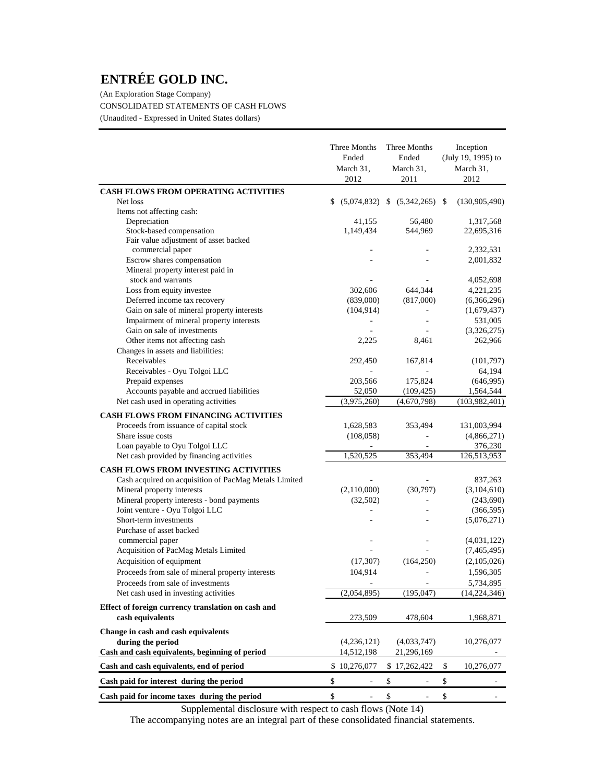(An Exploration Stage Company) CONSOLIDATED STATEMENTS OF CASH FLOWS (Unaudited - Expressed in United States dollars)

|                                                                        | Three Months<br>Ended<br>March 31,<br>2012 | Three Months<br>Ended<br>March 31,<br>2011 | Inception<br>(July 19, 1995) to<br>March 31,<br>2012 |
|------------------------------------------------------------------------|--------------------------------------------|--------------------------------------------|------------------------------------------------------|
| <b>CASH FLOWS FROM OPERATING ACTIVITIES</b>                            |                                            |                                            |                                                      |
| Net loss                                                               | \$                                         | $(5,074,832)$ \$ $(5,342,265)$ \$          | (130, 905, 490)                                      |
| Items not affecting cash:                                              |                                            |                                            |                                                      |
| Depreciation                                                           | 41,155                                     | 56,480                                     | 1,317,568                                            |
| Stock-based compensation                                               | 1,149,434                                  | 544,969                                    | 22,695,316                                           |
| Fair value adjustment of asset backed                                  |                                            |                                            |                                                      |
| commercial paper                                                       |                                            |                                            | 2,332,531                                            |
| Escrow shares compensation<br>Mineral property interest paid in        |                                            |                                            | 2,001,832                                            |
| stock and warrants                                                     |                                            |                                            | 4,052,698                                            |
| Loss from equity investee                                              | 302,606                                    | 644,344                                    | 4,221,235                                            |
| Deferred income tax recovery                                           | (839,000)                                  | (817,000)                                  | (6,366,296)                                          |
| Gain on sale of mineral property interests                             | (104, 914)                                 | $\blacksquare$                             | (1,679,437)                                          |
| Impairment of mineral property interests                               |                                            |                                            | 531,005                                              |
| Gain on sale of investments                                            |                                            |                                            | (3,326,275)                                          |
| Other items not affecting cash                                         | 2,225                                      | 8,461                                      | 262,966                                              |
| Changes in assets and liabilities:                                     |                                            |                                            |                                                      |
| Receivables                                                            | 292,450                                    | 167,814                                    | (101,797)                                            |
| Receivables - Oyu Tolgoi LLC                                           |                                            |                                            | 64,194                                               |
| Prepaid expenses                                                       | 203,566                                    | 175,824                                    | (646,995)                                            |
| Accounts payable and accrued liabilities                               | 52,050                                     | (109, 425)                                 | 1,564,544                                            |
| Net cash used in operating activities                                  | (3,975,260)                                | (4,670,798)                                | (103, 982, 401)                                      |
| <b>CASH FLOWS FROM FINANCING ACTIVITIES</b>                            |                                            |                                            |                                                      |
|                                                                        |                                            |                                            |                                                      |
| Proceeds from issuance of capital stock<br>Share issue costs           | 1,628,583<br>(108, 058)                    | 353,494                                    | 131,003,994<br>(4,866,271)                           |
| Loan payable to Oyu Tolgoi LLC                                         |                                            |                                            | 376,230                                              |
| Net cash provided by financing activities                              | 1,520,525                                  | 353,494                                    | 126,513,953                                          |
|                                                                        |                                            |                                            |                                                      |
| <b>CASH FLOWS FROM INVESTING ACTIVITIES</b>                            |                                            |                                            |                                                      |
| Cash acquired on acquisition of PacMag Metals Limited                  |                                            |                                            | 837,263                                              |
| Mineral property interests                                             | (2,110,000)                                | (30,797)                                   | (3,104,610)                                          |
| Mineral property interests - bond payments                             | (32,502)                                   |                                            | (243,690)                                            |
| Joint venture - Oyu Tolgoi LLC                                         |                                            |                                            | (366, 595)                                           |
| Short-term investments<br>Purchase of asset backed                     |                                            |                                            | (5,076,271)                                          |
| commercial paper                                                       |                                            |                                            |                                                      |
| Acquisition of PacMag Metals Limited                                   |                                            |                                            | (4,031,122)                                          |
| Acquisition of equipment                                               | (17, 307)                                  |                                            | (7,465,495)                                          |
| Proceeds from sale of mineral property interests                       |                                            | (164, 250)                                 | (2,105,026)                                          |
|                                                                        | 104,914                                    |                                            | 1,596,305                                            |
| Proceeds from sale of investments                                      |                                            |                                            | 5,734,895                                            |
| Net cash used in investing activities                                  | (2,054,895)                                | (195, 047)                                 | (14, 224, 346)                                       |
| Effect of foreign currency translation on cash and<br>cash equivalents | 273,509                                    | 478,604                                    | 1,968,871                                            |
| Change in cash and cash equivalents                                    |                                            |                                            |                                                      |
| during the period                                                      | (4,236,121)                                | (4,033,747)                                | 10,276,077                                           |
| Cash and cash equivalents, beginning of period                         | 14,512,198                                 | 21,296,169                                 |                                                      |
| Cash and cash equivalents, end of period                               | \$10,276,077                               | \$17,262,422                               | \$<br>10,276,077                                     |
| Cash paid for interest during the period                               | \$                                         | \$                                         | \$                                                   |
| Cash paid for income taxes during the period                           | \$                                         | \$<br>÷,                                   | \$                                                   |

Supplemental disclosure with respect to cash flows (Note 14)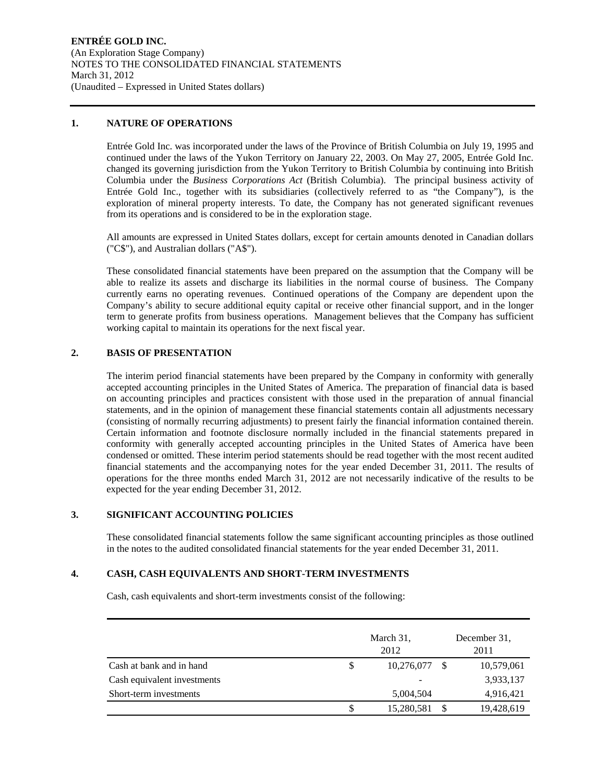#### **1. NATURE OF OPERATIONS**

Entrée Gold Inc. was incorporated under the laws of the Province of British Columbia on July 19, 1995 and continued under the laws of the Yukon Territory on January 22, 2003. On May 27, 2005, Entrée Gold Inc. changed its governing jurisdiction from the Yukon Territory to British Columbia by continuing into British Columbia under the *Business Corporations Act* (British Columbia). The principal business activity of Entrée Gold Inc., together with its subsidiaries (collectively referred to as "the Company"), is the exploration of mineral property interests. To date, the Company has not generated significant revenues from its operations and is considered to be in the exploration stage.

All amounts are expressed in United States dollars, except for certain amounts denoted in Canadian dollars ("C\$"), and Australian dollars ("A\$").

These consolidated financial statements have been prepared on the assumption that the Company will be able to realize its assets and discharge its liabilities in the normal course of business. The Company currently earns no operating revenues. Continued operations of the Company are dependent upon the Company's ability to secure additional equity capital or receive other financial support, and in the longer term to generate profits from business operations. Management believes that the Company has sufficient working capital to maintain its operations for the next fiscal year.

#### **2. BASIS OF PRESENTATION**

The interim period financial statements have been prepared by the Company in conformity with generally accepted accounting principles in the United States of America. The preparation of financial data is based on accounting principles and practices consistent with those used in the preparation of annual financial statements, and in the opinion of management these financial statements contain all adjustments necessary (consisting of normally recurring adjustments) to present fairly the financial information contained therein. Certain information and footnote disclosure normally included in the financial statements prepared in conformity with generally accepted accounting principles in the United States of America have been condensed or omitted. These interim period statements should be read together with the most recent audited financial statements and the accompanying notes for the year ended December 31, 2011. The results of operations for the three months ended March 31, 2012 are not necessarily indicative of the results to be expected for the year ending December 31, 2012.

#### **3. SIGNIFICANT ACCOUNTING POLICIES**

These consolidated financial statements follow the same significant accounting principles as those outlined in the notes to the audited consolidated financial statements for the year ended December 31, 2011.

#### **4. CASH, CASH EQUIVALENTS AND SHORT-TERM INVESTMENTS**

Cash, cash equivalents and short-term investments consist of the following:

|                             | March 31,<br>2012 |    | December 31.<br>2011 |
|-----------------------------|-------------------|----|----------------------|
| Cash at bank and in hand    | \$<br>10,276,077  | -S | 10,579,061           |
| Cash equivalent investments | -                 |    | 3,933,137            |
| Short-term investments      | 5,004,504         |    | 4,916,421            |
|                             | 15,280,581        |    | 19,428,619           |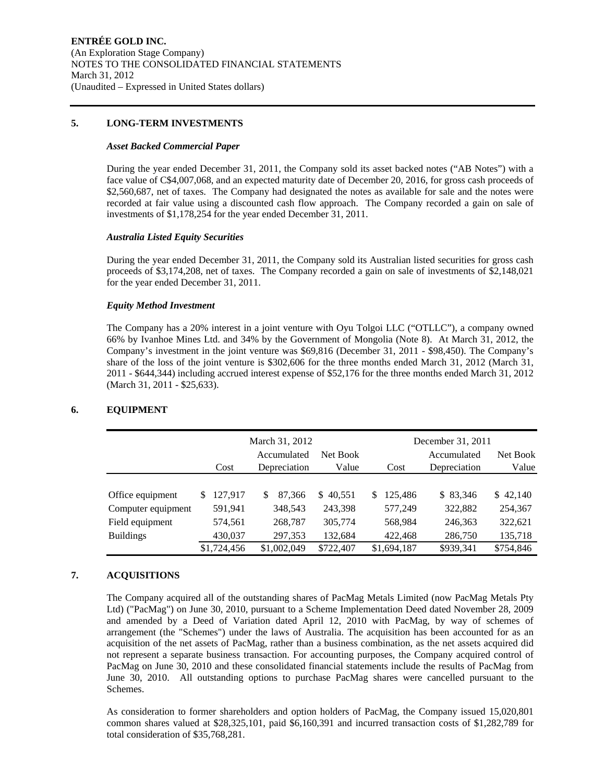#### **5. LONG-TERM INVESTMENTS**

#### *Asset Backed Commercial Paper*

During the year ended December 31, 2011, the Company sold its asset backed notes ("AB Notes") with a face value of C\$4,007,068, and an expected maturity date of December 20, 2016, for gross cash proceeds of \$2,560,687, net of taxes. The Company had designated the notes as available for sale and the notes were recorded at fair value using a discounted cash flow approach. The Company recorded a gain on sale of investments of \$1,178,254 for the year ended December 31, 2011.

#### *Australia Listed Equity Securities*

During the year ended December 31, 2011, the Company sold its Australian listed securities for gross cash proceeds of \$3,174,208, net of taxes. The Company recorded a gain on sale of investments of \$2,148,021 for the year ended December 31, 2011.

#### *Equity Method Investment*

The Company has a 20% interest in a joint venture with Oyu Tolgoi LLC ("OTLLC"), a company owned 66% by Ivanhoe Mines Ltd. and 34% by the Government of Mongolia (Note 8). At March 31, 2012, the Company's investment in the joint venture was \$69,816 (December 31, 2011 - \$98,450). The Company's share of the loss of the joint venture is \$302,606 for the three months ended March 31, 2012 (March 31, 2011 - \$644,344) including accrued interest expense of \$52,176 for the three months ended March 31, 2012 (March 31, 2011 - \$25,633).

|                    | December 31, 2011 |                             |                   |              |                             |                   |
|--------------------|-------------------|-----------------------------|-------------------|--------------|-----------------------------|-------------------|
|                    | Cost              | Accumulated<br>Depreciation | Net Book<br>Value | Cost         | Accumulated<br>Depreciation | Net Book<br>Value |
|                    |                   |                             |                   |              |                             |                   |
| Office equipment   | 127,917<br>S.     | 87,366<br>S                 | \$40,551          | 125.486<br>S | \$ 83,346                   | \$42,140          |
| Computer equipment | 591,941           | 348,543                     | 243,398           | 577,249      | 322,882                     | 254,367           |
| Field equipment    | 574,561           | 268,787                     | 305,774           | 568,984      | 246,363                     | 322,621           |
| <b>Buildings</b>   | 430,037           | 297,353                     | 132,684           | 422,468      | 286,750                     | 135,718           |
|                    | \$1,724,456       | \$1,002,049                 | \$722,407         | \$1,694,187  | \$939,341                   | \$754,846         |

#### **6. EQUIPMENT**

#### **7. ACQUISITIONS**

The Company acquired all of the outstanding shares of PacMag Metals Limited (now PacMag Metals Pty Ltd) ("PacMag") on June 30, 2010, pursuant to a Scheme Implementation Deed dated November 28, 2009 and amended by a Deed of Variation dated April 12, 2010 with PacMag, by way of schemes of arrangement (the "Schemes") under the laws of Australia. The acquisition has been accounted for as an acquisition of the net assets of PacMag, rather than a business combination, as the net assets acquired did not represent a separate business transaction. For accounting purposes, the Company acquired control of PacMag on June 30, 2010 and these consolidated financial statements include the results of PacMag from June 30, 2010. All outstanding options to purchase PacMag shares were cancelled pursuant to the Schemes.

As consideration to former shareholders and option holders of PacMag, the Company issued 15,020,801 common shares valued at \$28,325,101, paid \$6,160,391 and incurred transaction costs of \$1,282,789 for total consideration of \$35,768,281.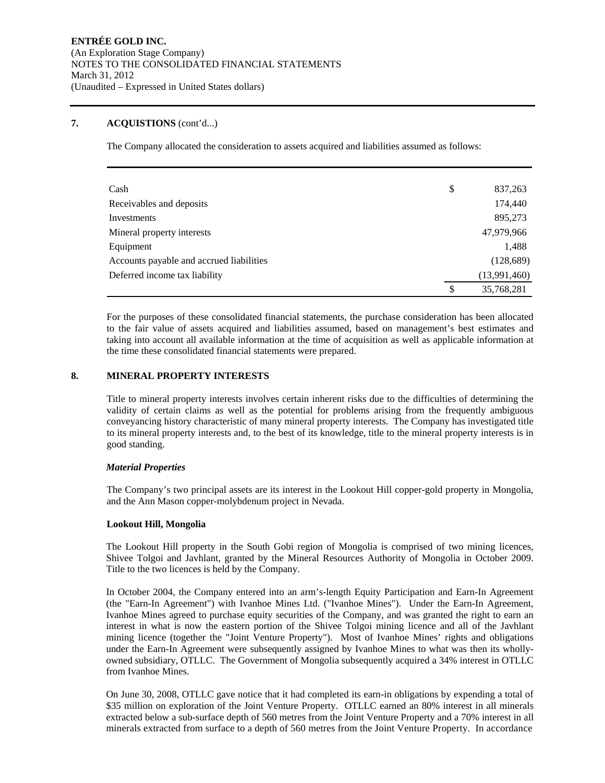#### **7. ACQUISTIONS** (cont'd...)

The Company allocated the consideration to assets acquired and liabilities assumed as follows:

| Cash                                     | \$<br>837,263    |
|------------------------------------------|------------------|
| Receivables and deposits                 | 174,440          |
| Investments                              | 895,273          |
| Mineral property interests               | 47,979,966       |
| Equipment                                | 1,488            |
| Accounts payable and accrued liabilities | (128, 689)       |
| Deferred income tax liability            | (13,991,460)     |
|                                          | \$<br>35,768,281 |

For the purposes of these consolidated financial statements, the purchase consideration has been allocated to the fair value of assets acquired and liabilities assumed, based on management's best estimates and taking into account all available information at the time of acquisition as well as applicable information at the time these consolidated financial statements were prepared.

#### **8. MINERAL PROPERTY INTERESTS**

Title to mineral property interests involves certain inherent risks due to the difficulties of determining the validity of certain claims as well as the potential for problems arising from the frequently ambiguous conveyancing history characteristic of many mineral property interests. The Company has investigated title to its mineral property interests and, to the best of its knowledge, title to the mineral property interests is in good standing.

#### *Material Properties*

The Company's two principal assets are its interest in the Lookout Hill copper-gold property in Mongolia, and the Ann Mason copper-molybdenum project in Nevada.

#### **Lookout Hill, Mongolia**

The Lookout Hill property in the South Gobi region of Mongolia is comprised of two mining licences, Shivee Tolgoi and Javhlant, granted by the Mineral Resources Authority of Mongolia in October 2009. Title to the two licences is held by the Company.

In October 2004, the Company entered into an arm's-length Equity Participation and Earn-In Agreement (the "Earn-In Agreement") with Ivanhoe Mines Ltd. ("Ivanhoe Mines"). Under the Earn-In Agreement, Ivanhoe Mines agreed to purchase equity securities of the Company, and was granted the right to earn an interest in what is now the eastern portion of the Shivee Tolgoi mining licence and all of the Javhlant mining licence (together the "Joint Venture Property"). Most of Ivanhoe Mines' rights and obligations under the Earn-In Agreement were subsequently assigned by Ivanhoe Mines to what was then its whollyowned subsidiary, OTLLC. The Government of Mongolia subsequently acquired a 34% interest in OTLLC from Ivanhoe Mines.

On June 30, 2008, OTLLC gave notice that it had completed its earn-in obligations by expending a total of \$35 million on exploration of the Joint Venture Property. OTLLC earned an 80% interest in all minerals extracted below a sub-surface depth of 560 metres from the Joint Venture Property and a 70% interest in all minerals extracted from surface to a depth of 560 metres from the Joint Venture Property. In accordance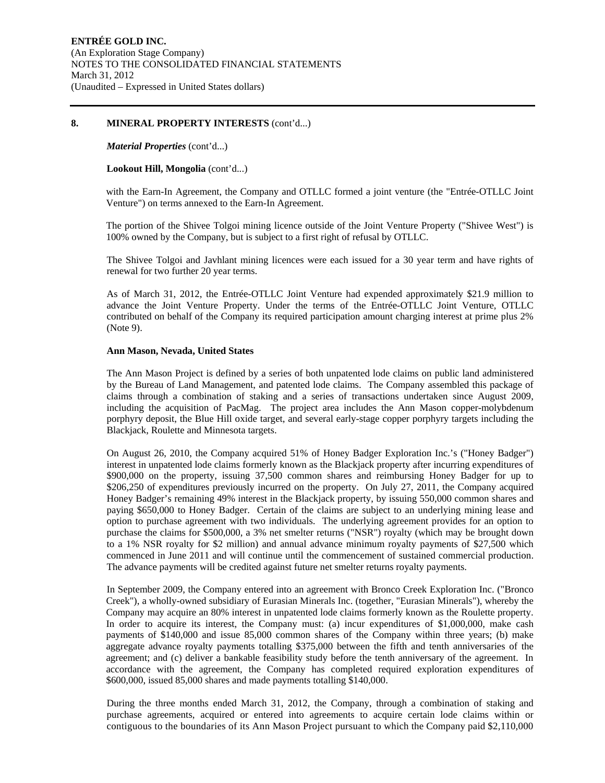#### **8. MINERAL PROPERTY INTERESTS** (cont'd...)

#### *Material Properties* (cont'd...)

#### **Lookout Hill, Mongolia** (cont'd...)

with the Earn-In Agreement, the Company and OTLLC formed a joint venture (the "Entrée-OTLLC Joint Venture") on terms annexed to the Earn-In Agreement.

The portion of the Shivee Tolgoi mining licence outside of the Joint Venture Property ("Shivee West") is 100% owned by the Company, but is subject to a first right of refusal by OTLLC.

The Shivee Tolgoi and Javhlant mining licences were each issued for a 30 year term and have rights of renewal for two further 20 year terms.

As of March 31, 2012, the Entrée-OTLLC Joint Venture had expended approximately \$21.9 million to advance the Joint Venture Property. Under the terms of the Entrée-OTLLC Joint Venture, OTLLC contributed on behalf of the Company its required participation amount charging interest at prime plus 2% (Note 9).

#### **Ann Mason, Nevada, United States**

The Ann Mason Project is defined by a series of both unpatented lode claims on public land administered by the Bureau of Land Management, and patented lode claims. The Company assembled this package of claims through a combination of staking and a series of transactions undertaken since August 2009, including the acquisition of PacMag. The project area includes the Ann Mason copper-molybdenum porphyry deposit, the Blue Hill oxide target, and several early-stage copper porphyry targets including the Blackjack, Roulette and Minnesota targets.

On August 26, 2010, the Company acquired 51% of Honey Badger Exploration Inc.'s ("Honey Badger") interest in unpatented lode claims formerly known as the Blackjack property after incurring expenditures of \$900,000 on the property, issuing 37,500 common shares and reimbursing Honey Badger for up to \$206,250 of expenditures previously incurred on the property. On July 27, 2011, the Company acquired Honey Badger's remaining 49% interest in the Blackjack property, by issuing 550,000 common shares and paying \$650,000 to Honey Badger. Certain of the claims are subject to an underlying mining lease and option to purchase agreement with two individuals. The underlying agreement provides for an option to purchase the claims for \$500,000, a 3% net smelter returns ("NSR") royalty (which may be brought down to a 1% NSR royalty for \$2 million) and annual advance minimum royalty payments of \$27,500 which commenced in June 2011 and will continue until the commencement of sustained commercial production. The advance payments will be credited against future net smelter returns royalty payments.

In September 2009, the Company entered into an agreement with Bronco Creek Exploration Inc. ("Bronco Creek"), a wholly-owned subsidiary of Eurasian Minerals Inc. (together, "Eurasian Minerals"), whereby the Company may acquire an 80% interest in unpatented lode claims formerly known as the Roulette property. In order to acquire its interest, the Company must: (a) incur expenditures of \$1,000,000, make cash payments of \$140,000 and issue 85,000 common shares of the Company within three years; (b) make aggregate advance royalty payments totalling \$375,000 between the fifth and tenth anniversaries of the agreement; and (c) deliver a bankable feasibility study before the tenth anniversary of the agreement. In accordance with the agreement, the Company has completed required exploration expenditures of \$600,000, issued 85,000 shares and made payments totalling \$140,000.

During the three months ended March 31, 2012, the Company, through a combination of staking and purchase agreements, acquired or entered into agreements to acquire certain lode claims within or contiguous to the boundaries of its Ann Mason Project pursuant to which the Company paid \$2,110,000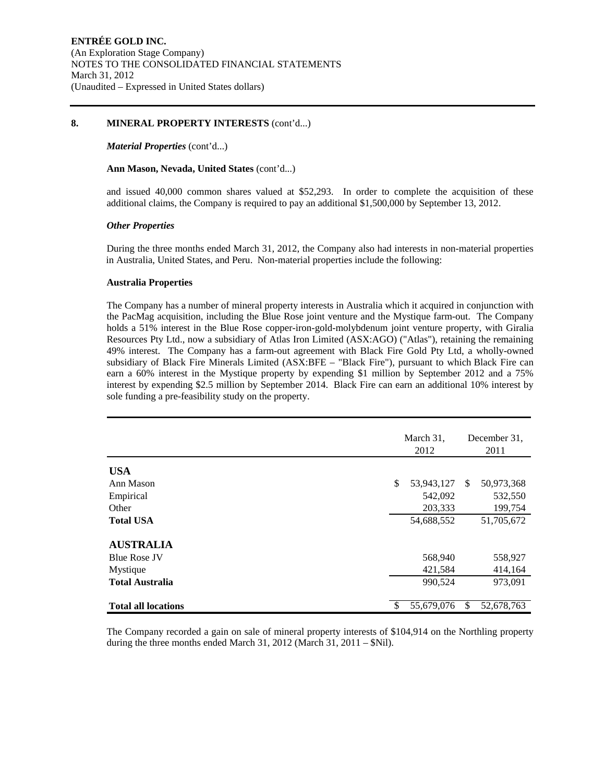#### **8. MINERAL PROPERTY INTERESTS** (cont'd...)

#### *Material Properties* (cont'd...)

#### **Ann Mason, Nevada, United States** (cont'd...)

and issued 40,000 common shares valued at \$52,293. In order to complete the acquisition of these additional claims, the Company is required to pay an additional \$1,500,000 by September 13, 2012.

#### *Other Properties*

During the three months ended March 31, 2012, the Company also had interests in non-material properties in Australia, United States, and Peru. Non-material properties include the following:

#### **Australia Properties**

The Company has a number of mineral property interests in Australia which it acquired in conjunction with the PacMag acquisition, including the Blue Rose joint venture and the Mystique farm-out. The Company holds a 51% interest in the Blue Rose copper-iron-gold-molybdenum joint venture property, with Giralia Resources Pty Ltd., now a subsidiary of Atlas Iron Limited (ASX:AGO) ("Atlas"), retaining the remaining 49% interest. The Company has a farm-out agreement with Black Fire Gold Pty Ltd, a wholly-owned subsidiary of Black Fire Minerals Limited (ASX:BFE – "Black Fire"), pursuant to which Black Fire can earn a 60% interest in the Mystique property by expending \$1 million by September 2012 and a 75% interest by expending \$2.5 million by September 2014. Black Fire can earn an additional 10% interest by sole funding a pre-feasibility study on the property.

|                            |   | March 31,<br>2012 |    | December 31,<br>2011 |
|----------------------------|---|-------------------|----|----------------------|
| <b>USA</b>                 |   |                   |    |                      |
| Ann Mason                  | S | 53,943,127        | \$ | 50,973,368           |
| Empirical                  |   | 542,092           |    | 532,550              |
| Other                      |   | 203,333           |    | 199,754              |
| <b>Total USA</b>           |   | 54,688,552        |    | 51,705,672           |
| <b>AUSTRALIA</b>           |   |                   |    |                      |
| <b>Blue Rose JV</b>        |   | 568,940           |    | 558,927              |
| Mystique                   |   | 421,584           |    | 414,164              |
| <b>Total Australia</b>     |   | 990,524           |    | 973,091              |
| <b>Total all locations</b> | S | 55,679,076        | S  | 52,678,763           |

The Company recorded a gain on sale of mineral property interests of \$104,914 on the Northling property during the three months ended March 31, 2012 (March 31, 2011 – \$Nil).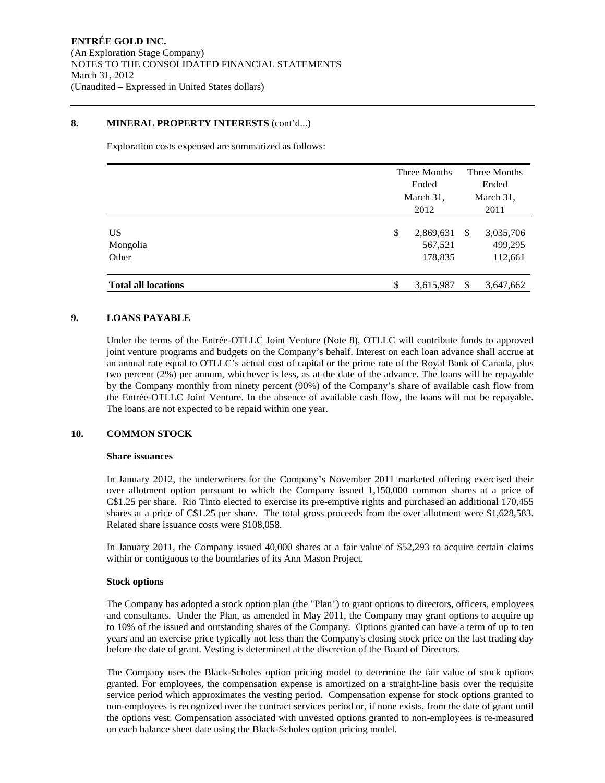#### **8. MINERAL PROPERTY INTERESTS** (cont'd...)

Exploration costs expensed are summarized as follows:

|                            | Three Months<br>Ended<br>March 31,    |               | Three Months<br>Ended<br>March 31, |
|----------------------------|---------------------------------------|---------------|------------------------------------|
|                            | 2012                                  |               | 2011                               |
| US<br>Mongolia<br>Other    | \$<br>2,869,631<br>567,521<br>178,835 | \$            | 3,035,706<br>499,295<br>112,661    |
| <b>Total all locations</b> | \$<br>3,615,987                       | <sup>\$</sup> | 3,647,662                          |

#### **9. LOANS PAYABLE**

Under the terms of the Entrée-OTLLC Joint Venture (Note 8), OTLLC will contribute funds to approved joint venture programs and budgets on the Company's behalf. Interest on each loan advance shall accrue at an annual rate equal to OTLLC's actual cost of capital or the prime rate of the Royal Bank of Canada, plus two percent (2%) per annum, whichever is less, as at the date of the advance. The loans will be repayable by the Company monthly from ninety percent (90%) of the Company's share of available cash flow from the Entrée-OTLLC Joint Venture. In the absence of available cash flow, the loans will not be repayable. The loans are not expected to be repaid within one year.

#### **10. COMMON STOCK**

#### **Share issuances**

In January 2012, the underwriters for the Company's November 2011 marketed offering exercised their over allotment option pursuant to which the Company issued 1,150,000 common shares at a price of C\$1.25 per share. Rio Tinto elected to exercise its pre-emptive rights and purchased an additional 170,455 shares at a price of C\$1.25 per share. The total gross proceeds from the over allotment were \$1,628,583. Related share issuance costs were \$108,058.

In January 2011, the Company issued 40,000 shares at a fair value of \$52,293 to acquire certain claims within or contiguous to the boundaries of its Ann Mason Project.

#### **Stock options**

The Company has adopted a stock option plan (the "Plan") to grant options to directors, officers, employees and consultants. Under the Plan, as amended in May 2011, the Company may grant options to acquire up to 10% of the issued and outstanding shares of the Company. Options granted can have a term of up to ten years and an exercise price typically not less than the Company's closing stock price on the last trading day before the date of grant. Vesting is determined at the discretion of the Board of Directors.

The Company uses the Black-Scholes option pricing model to determine the fair value of stock options granted. For employees, the compensation expense is amortized on a straight-line basis over the requisite service period which approximates the vesting period. Compensation expense for stock options granted to non-employees is recognized over the contract services period or, if none exists, from the date of grant until the options vest. Compensation associated with unvested options granted to non-employees is re-measured on each balance sheet date using the Black-Scholes option pricing model.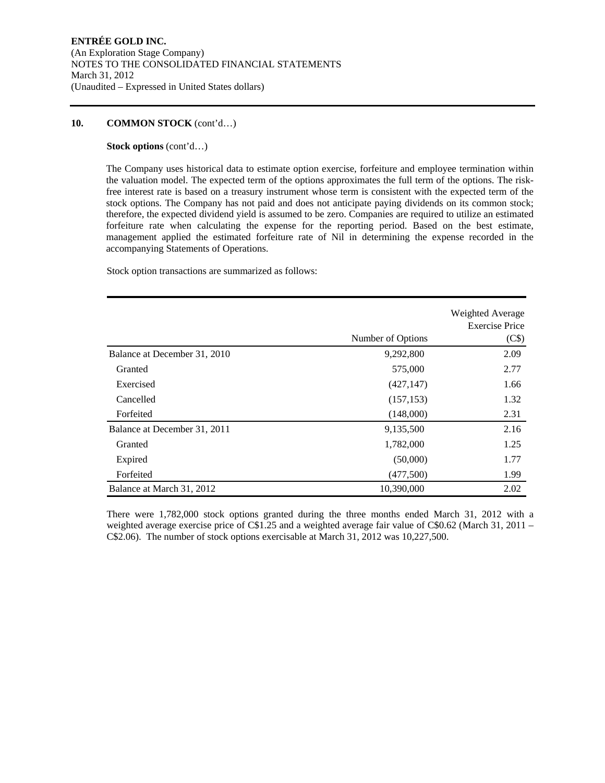#### **10. COMMON STOCK** (cont'd…)

#### **Stock options** (cont'd…)

The Company uses historical data to estimate option exercise, forfeiture and employee termination within the valuation model. The expected term of the options approximates the full term of the options. The riskfree interest rate is based on a treasury instrument whose term is consistent with the expected term of the stock options. The Company has not paid and does not anticipate paying dividends on its common stock; therefore, the expected dividend yield is assumed to be zero. Companies are required to utilize an estimated forfeiture rate when calculating the expense for the reporting period. Based on the best estimate, management applied the estimated forfeiture rate of Nil in determining the expense recorded in the accompanying Statements of Operations.

Stock option transactions are summarized as follows:

|                              |                   | Weighted Average<br><b>Exercise Price</b> |
|------------------------------|-------------------|-------------------------------------------|
|                              | Number of Options | (C <sub>s</sub> )                         |
| Balance at December 31, 2010 | 9,292,800         | 2.09                                      |
| Granted                      | 575,000           | 2.77                                      |
| Exercised                    | (427, 147)        | 1.66                                      |
| Cancelled                    | (157, 153)        | 1.32                                      |
| Forfeited                    | (148,000)         | 2.31                                      |
| Balance at December 31, 2011 | 9,135,500         | 2.16                                      |
| Granted                      | 1,782,000         | 1.25                                      |
| Expired                      | (50,000)          | 1.77                                      |
| Forfeited                    | (477,500)         | 1.99                                      |
| Balance at March 31, 2012    | 10,390,000        | 2.02                                      |

There were 1,782,000 stock options granted during the three months ended March 31, 2012 with a weighted average exercise price of C\$1.25 and a weighted average fair value of C\$0.62 (March 31, 2011 – C\$2.06). The number of stock options exercisable at March 31, 2012 was 10,227,500.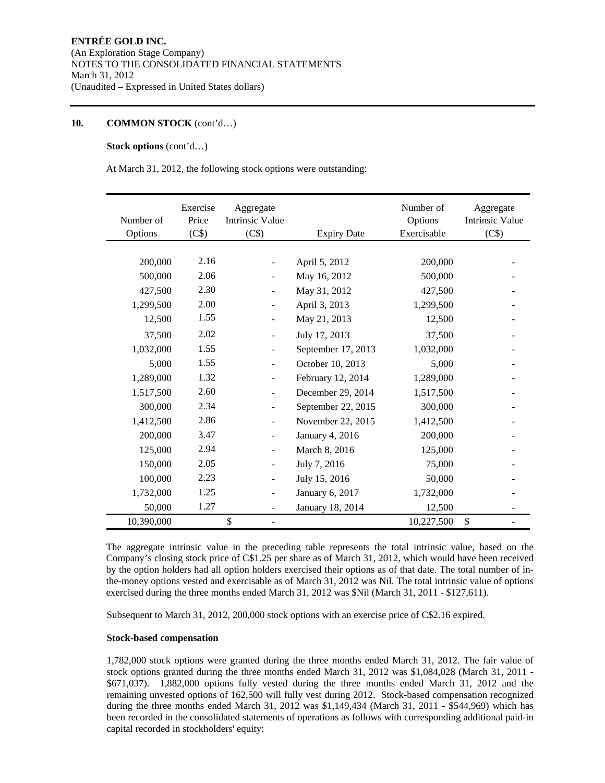#### **10. COMMON STOCK** (cont'd…)

#### **Stock options** (cont'd…)

At March 31, 2012, the following stock options were outstanding:

| Number of<br>Options | Exercise<br>Price<br>(C\$) | Aggregate<br><b>Intrinsic Value</b><br>(C\$) | <b>Expiry Date</b> | Number of<br>Options<br>Exercisable | Aggregate<br><b>Intrinsic Value</b><br>(C\$) |
|----------------------|----------------------------|----------------------------------------------|--------------------|-------------------------------------|----------------------------------------------|
|                      |                            |                                              |                    |                                     |                                              |
| 200,000              | 2.16                       |                                              | April 5, 2012      | 200,000                             |                                              |
| 500,000              | 2.06                       | $\overline{a}$                               | May 16, 2012       | 500,000                             |                                              |
| 427,500              | 2.30                       | $\overline{\phantom{a}}$                     | May 31, 2012       | 427,500                             |                                              |
| 1,299,500            | 2.00                       |                                              | April 3, 2013      | 1,299,500                           |                                              |
| 12,500               | 1.55                       | $\overline{\phantom{0}}$                     | May 21, 2013       | 12,500                              |                                              |
| 37,500               | 2.02                       | $\overline{a}$                               | July 17, 2013      | 37,500                              |                                              |
| 1,032,000            | 1.55                       |                                              | September 17, 2013 | 1,032,000                           |                                              |
| 5,000                | 1.55                       | $\overline{\phantom{m}}$                     | October 10, 2013   | 5,000                               |                                              |
| 1,289,000            | 1.32                       |                                              | February 12, 2014  | 1,289,000                           |                                              |
| 1,517,500            | 2.60                       | $\overline{a}$                               | December 29, 2014  | 1,517,500                           |                                              |
| 300,000              | 2.34                       | $\overline{\phantom{m}}$                     | September 22, 2015 | 300,000                             |                                              |
| 1,412,500            | 2.86                       |                                              | November 22, 2015  | 1,412,500                           |                                              |
| 200,000              | 3.47                       | $\overline{a}$                               | January 4, 2016    | 200,000                             |                                              |
| 125,000              | 2.94                       | $\overline{\phantom{m}}$                     | March 8, 2016      | 125,000                             |                                              |
| 150,000              | 2.05                       | $\overline{\phantom{m}}$                     | July 7, 2016       | 75,000                              |                                              |
| 100,000              | 2.23                       |                                              | July 15, 2016      | 50,000                              |                                              |
| 1,732,000            | 1.25                       |                                              | January 6, 2017    | 1,732,000                           |                                              |
| 50,000               | 1.27                       | $\overline{\phantom{a}}$                     | January 18, 2014   | 12,500                              |                                              |
| 10,390,000           |                            | \$<br>$\overline{\phantom{a}}$               |                    | 10,227,500                          | \$                                           |

The aggregate intrinsic value in the preceding table represents the total intrinsic value, based on the Company's closing stock price of C\$1.25 per share as of March 31, 2012, which would have been received by the option holders had all option holders exercised their options as of that date. The total number of inthe-money options vested and exercisable as of March 31, 2012 was Nil. The total intrinsic value of options exercised during the three months ended March 31, 2012 was \$Nil (March 31, 2011 - \$127,611).

Subsequent to March 31, 2012, 200,000 stock options with an exercise price of C\$2.16 expired.

#### **Stock-based compensation**

1,782,000 stock options were granted during the three months ended March 31, 2012. The fair value of stock options granted during the three months ended March 31, 2012 was \$1,084,028 (March 31, 2011 - \$671,037). 1,882,000 options fully vested during the three months ended March 31, 2012 and the remaining unvested options of 162,500 will fully vest during 2012. Stock-based compensation recognized during the three months ended March 31, 2012 was \$1,149,434 (March 31, 2011 - \$544,969) which has been recorded in the consolidated statements of operations as follows with corresponding additional paid-in capital recorded in stockholders' equity: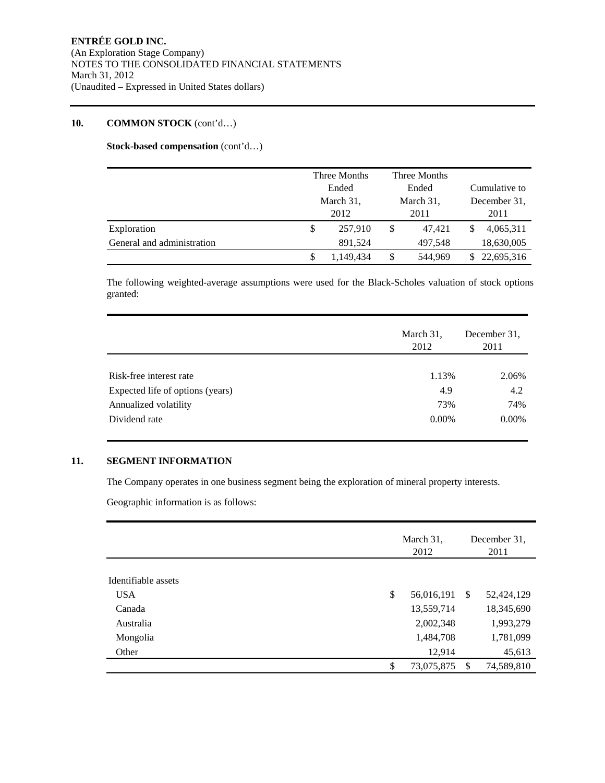#### **10. COMMON STOCK** (cont'd…)

**Stock-based compensation** (cont'd…)

|                            |           | Three Months<br>Ended |           | Three Months |               |              |
|----------------------------|-----------|-----------------------|-----------|--------------|---------------|--------------|
|                            |           |                       |           | Ended        | Cumulative to |              |
|                            | March 31, |                       | March 31, |              |               | December 31. |
|                            |           | 2012                  |           | 2011         | 2011          |              |
| Exploration                | \$        | 257,910               | \$        | 47,421       | \$            | 4,065,311    |
| General and administration |           | 891.524               |           | 497.548      |               | 18,630,005   |
|                            |           | 1.149.434             | \$        | 544.969      |               | 22,695,316   |

The following weighted-average assumptions were used for the Black-Scholes valuation of stock options granted:

|                                  | March 31,<br>2012 | December 31.<br>2011 |
|----------------------------------|-------------------|----------------------|
|                                  |                   |                      |
| Risk-free interest rate          | 1.13%             | 2.06%                |
| Expected life of options (years) | 4.9               | 4.2                  |
| Annualized volatility            | 73%               | 74%                  |
| Dividend rate                    | $0.00\%$          | $0.00\%$             |

#### **11. SEGMENT INFORMATION**

The Company operates in one business segment being the exploration of mineral property interests.

Geographic information is as follows:

|                     | March 31,<br>2012 |               | December 31,<br>2011 |  |
|---------------------|-------------------|---------------|----------------------|--|
| Identifiable assets |                   |               |                      |  |
|                     |                   |               |                      |  |
| <b>USA</b>          | \$<br>56,016,191  | -S            | 52,424,129           |  |
| Canada              | 13,559,714        |               | 18,345,690           |  |
| Australia           | 2,002,348         |               | 1,993,279            |  |
| Mongolia            | 1,484,708         |               | 1,781,099            |  |
| Other               | 12,914            |               | 45,613               |  |
|                     | \$<br>73,075,875  | <sup>\$</sup> | 74,589,810           |  |
|                     |                   |               |                      |  |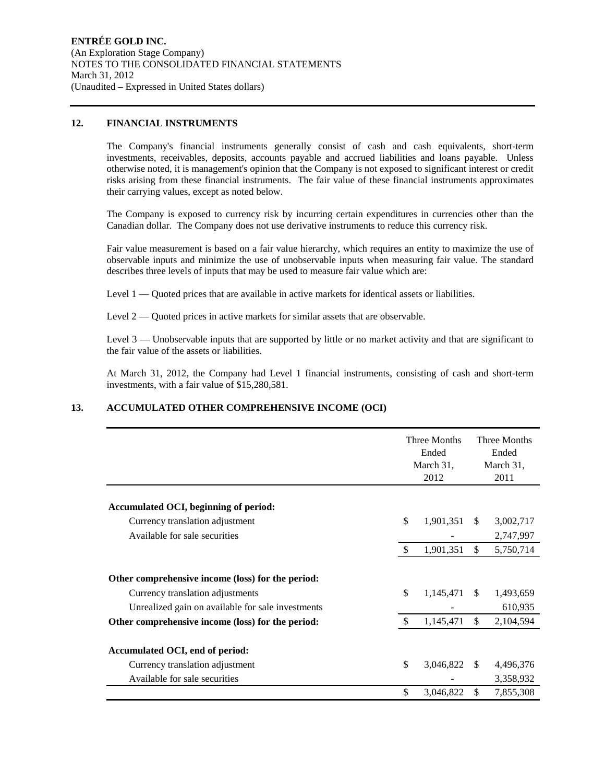#### **12. FINANCIAL INSTRUMENTS**

The Company's financial instruments generally consist of cash and cash equivalents, short-term investments, receivables, deposits, accounts payable and accrued liabilities and loans payable. Unless otherwise noted, it is management's opinion that the Company is not exposed to significant interest or credit risks arising from these financial instruments. The fair value of these financial instruments approximates their carrying values, except as noted below.

The Company is exposed to currency risk by incurring certain expenditures in currencies other than the Canadian dollar. The Company does not use derivative instruments to reduce this currency risk.

Fair value measurement is based on a fair value hierarchy, which requires an entity to maximize the use of observable inputs and minimize the use of unobservable inputs when measuring fair value. The standard describes three levels of inputs that may be used to measure fair value which are:

Level 1 — Quoted prices that are available in active markets for identical assets or liabilities.

Level 2 — Quoted prices in active markets for similar assets that are observable.

Level 3 — Unobservable inputs that are supported by little or no market activity and that are significant to the fair value of the assets or liabilities.

At March 31, 2012, the Company had Level 1 financial instruments, consisting of cash and short-term investments, with a fair value of \$15,280,581.

#### **13. ACCUMULATED OTHER COMPREHENSIVE INCOME (OCI)**

|                                                                                                                                            |               | Three Months<br>Ended<br>March 31,<br>2012 |               | Three Months<br>Ended<br>March 31,<br>2011 |
|--------------------------------------------------------------------------------------------------------------------------------------------|---------------|--------------------------------------------|---------------|--------------------------------------------|
| Accumulated OCI, beginning of period:                                                                                                      |               |                                            |               |                                            |
| Currency translation adjustment                                                                                                            | \$            | 1,901,351                                  | <sup>\$</sup> | 3,002,717                                  |
| Available for sale securities                                                                                                              |               |                                            |               | 2,747,997                                  |
|                                                                                                                                            | S.            | 1,901,351                                  | \$            | 5,750,714                                  |
| Other comprehensive income (loss) for the period:<br>Currency translation adjustments<br>Unrealized gain on available for sale investments | \$            | 1,145,471                                  | -S            | 1,493,659<br>610,935                       |
| Other comprehensive income (loss) for the period:                                                                                          | <sup>\$</sup> | 1,145,471                                  | \$            | 2,104,594                                  |
| Accumulated OCI, end of period:<br>Currency translation adjustment<br>Available for sale securities                                        | \$            | 3,046,822                                  | -S            | 4,496,376<br>3,358,932                     |
|                                                                                                                                            | \$            | 3,046,822                                  | \$            | 7,855,308                                  |